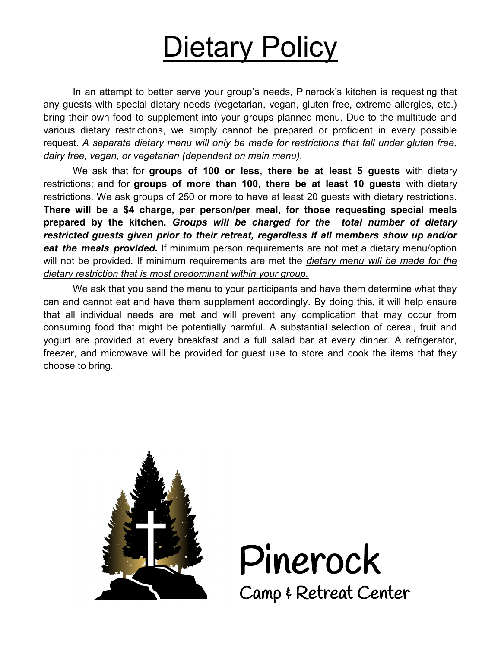# **Dietary Policy**

In an attempt to better serve your group's needs, Pinerock's kitchen is requesting that any guests with special dietary needs (vegetarian, vegan, gluten free, extreme allergies, etc.) bring their own food to supplement into your groups planned menu. Due to the multitude and various dietary restrictions, we simply cannot be prepared or proficient in every possible request. *A separate dietary menu will only be made for restrictions that fall under gluten free, dairy free, vegan, or vegetarian (dependent on main menu).*

We ask that for **groups of 100 or less, there be at least 5 guests** with dietary restrictions; and for **groups of more than 100, there be at least 10 guests** with dietary restrictions. We ask groups of 250 or more to have at least 20 guests with dietary restrictions. **There will be a \$4 charge, per person/per meal, for those requesting special meals prepared by the kitchen.** *Groups will be charged for the total number of dietary restricted guests given prior to their retreat, regardless if all members show up and/or eat the meals provided.* If minimum person requirements are not met a dietary menu/option will not be provided. If minimum requirements are met the *dietary menu will be made for the dietary restriction that is most predominant within your group.* 

We ask that you send the menu to your participants and have them determine what they can and cannot eat and have them supplement accordingly. By doing this, it will help ensure that all individual needs are met and will prevent any complication that may occur from consuming food that might be potentially harmful. A substantial selection of cereal, fruit and yogurt are provided at every breakfast and a full salad bar at every dinner. A refrigerator, freezer, and microwave will be provided for guest use to store and cook the items that they choose to bring.



Pinerock Camp & Retreat Center